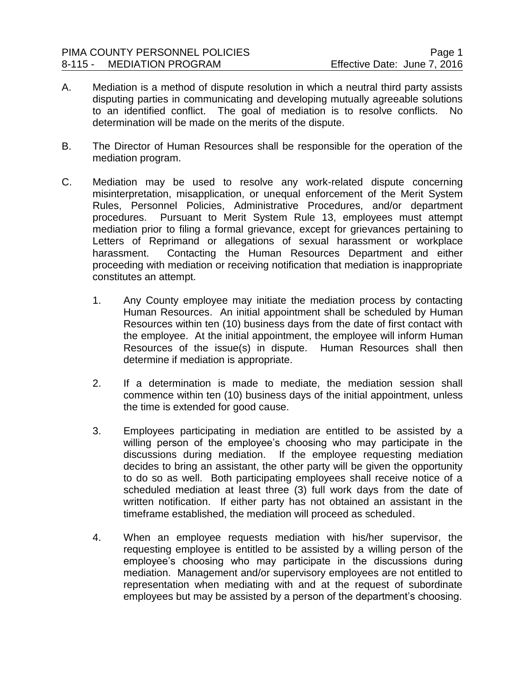- A. Mediation is a method of dispute resolution in which a neutral third party assists disputing parties in communicating and developing mutually agreeable solutions to an identified conflict. The goal of mediation is to resolve conflicts. No determination will be made on the merits of the dispute.
- B. The Director of Human Resources shall be responsible for the operation of the mediation program.
- C. Mediation may be used to resolve any work-related dispute concerning misinterpretation, misapplication, or unequal enforcement of the Merit System Rules, Personnel Policies, Administrative Procedures, and/or department procedures. Pursuant to Merit System Rule 13, employees must attempt mediation prior to filing a formal grievance, except for grievances pertaining to Letters of Reprimand or allegations of sexual harassment or workplace harassment. Contacting the Human Resources Department and either proceeding with mediation or receiving notification that mediation is inappropriate constitutes an attempt.
	- 1. Any County employee may initiate the mediation process by contacting Human Resources. An initial appointment shall be scheduled by Human Resources within ten (10) business days from the date of first contact with the employee. At the initial appointment, the employee will inform Human Resources of the issue(s) in dispute. Human Resources shall then determine if mediation is appropriate.
	- 2. If a determination is made to mediate, the mediation session shall commence within ten (10) business days of the initial appointment, unless the time is extended for good cause.
	- 3. Employees participating in mediation are entitled to be assisted by a willing person of the employee's choosing who may participate in the discussions during mediation. If the employee requesting mediation decides to bring an assistant, the other party will be given the opportunity to do so as well. Both participating employees shall receive notice of a scheduled mediation at least three (3) full work days from the date of written notification. If either party has not obtained an assistant in the timeframe established, the mediation will proceed as scheduled.
	- 4. When an employee requests mediation with his/her supervisor, the requesting employee is entitled to be assisted by a willing person of the employee's choosing who may participate in the discussions during mediation. Management and/or supervisory employees are not entitled to representation when mediating with and at the request of subordinate employees but may be assisted by a person of the department's choosing.